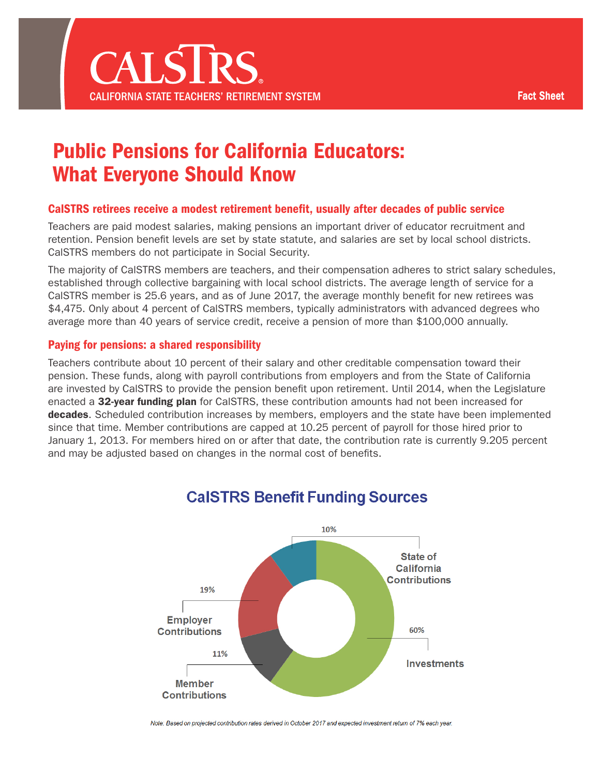

# Public Pensions for California Educators: What Everyone Should Know

#### CalSTRS retirees receive a modest retirement benefit, usually after decades of public service

Teachers are paid modest salaries, making pensions an important driver of educator recruitment and retention. Pension benefit levels are set by state statute, and salaries are set by local school districts. CalSTRS members do not participate in Social Security.

The majority of CalSTRS members are teachers, and their compensation adheres to strict salary schedules, established through collective bargaining with local school districts. The average length of service for a CalSTRS member is 25.6 years, and as of June 2017, the average monthly benefit for new retirees was \$4,475. Only about 4 percent of CalSTRS members, typically administrators with advanced degrees who average more than 40 years of service credit, receive a pension of more than \$100,000 annually.

#### Paying for pensions: a shared responsibility

Teachers contribute about 10 percent of their salary and other creditable compensation toward their pension. These funds, along with payroll contributions from employers and from the State of California are invested by CalSTRS to provide the pension benefit upon retirement. Until 2014, when the Legislature enacted a [32-year funding plan](https://www.calstrs.com/sites/main/files/file-attachments/ab_1469_factsheet2017.pdf) for CalSTRS, these contribution amounts had not been increased for [decades](https://www.calstrs.com/sites/main/files/file-attachments/sustainingretirementsecurity2pagerv11_082113.pdf). Scheduled contribution increases by members, employers and the state have been implemented since that time. Member contributions are capped at 10.25 percent of payroll for those hired prior to January 1, 2013. For members hired on or after that date, the contribution rate is currently 9.205 percent and may be adjusted based on changes in the normal cost of benefits.



# **CalSTRS Benefit Funding Sources**

Note: Based on projected contribution rates derived in October 2017 and expected investment return of 7% each year